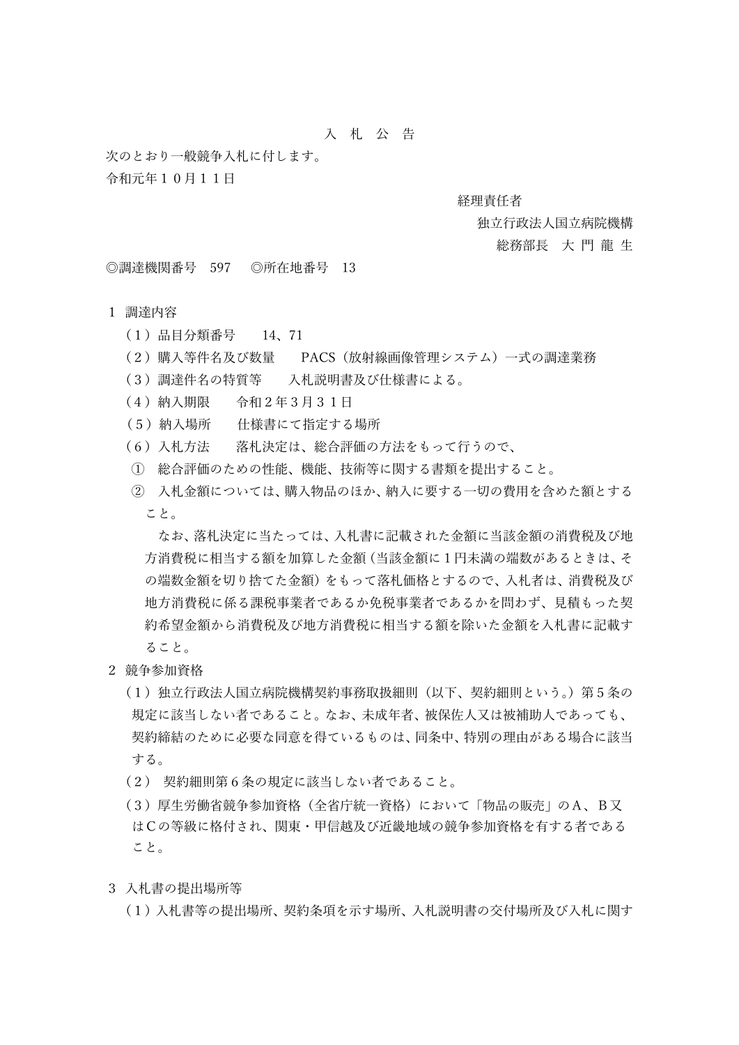# 入 札 公 告

次のとおり一般競争入札に付します。 令和元年10⽉11⽇

### 経理責任者

### 独立行政法人国立病院機構

#### 総務部長 大門龍生

◎調達機関番号 597 ◎所在地番号 13

## 1 調達内容

- (1)品⽬分類番号 14、71
- (2)購⼊等件名及び数量 PACS(放射線画像管理システム)⼀式の調達業務
- (3)調達件名の特質等 入札説明書及び仕様書による。
- (4)納⼊期限 令和2年3⽉31⽇
- (5)納⼊場所 仕様書にて指定する場所
- (6) 入札方法 落札決定は、総合評価の方法をもって行うので、
- ① 総合評価のための性能、機能、技術等に関する書類を提出すること。
- ② 入札金額については、購入物品のほか、納入に要する一切の費用を含めた額とする こと。

なお、落札決定に当たっては、入札書に記載された金額に当該金額の消費税及び地 方消費税に相当する額を加算した金額(当該金額に1円未満の端数があるときは、そ の端数金額を切り捨てた金額)をもって落札価格とするので、入札者は、消費税及び 地方消費税に係る課税事業者であるか免税事業者であるかを問わず、見積もった契 約希望金額から消費税及び地方消費税に相当する額を除いた金額を入札書に記載す ること。

- 2 競争参加資格
	- (1)独立行政法人国立病院機構契約事務取扱細則(以下、契約細則という。)第5条の 規定に該当しない者であること。なお、未成年者、被保佐人又は被補助人であっても、 契約締結のために必要な同意を得ているものは、同条中、特別の理由がある場合に該当 する。
	- (2) 契約細則第6条の規定に該当しない者であること。
	- (3)厚⽣労働省競争参加資格(全省庁統⼀資格)において「物品の販売」のA、B⼜ はCの等級に格付され、関東・甲信越及び近畿地域の競争参加資格を有する者である こと。
- 3 入札書の提出場所等
	- (1) 入札書等の提出場所、契約条項を示す場所、入札説明書の交付場所及び入札に関す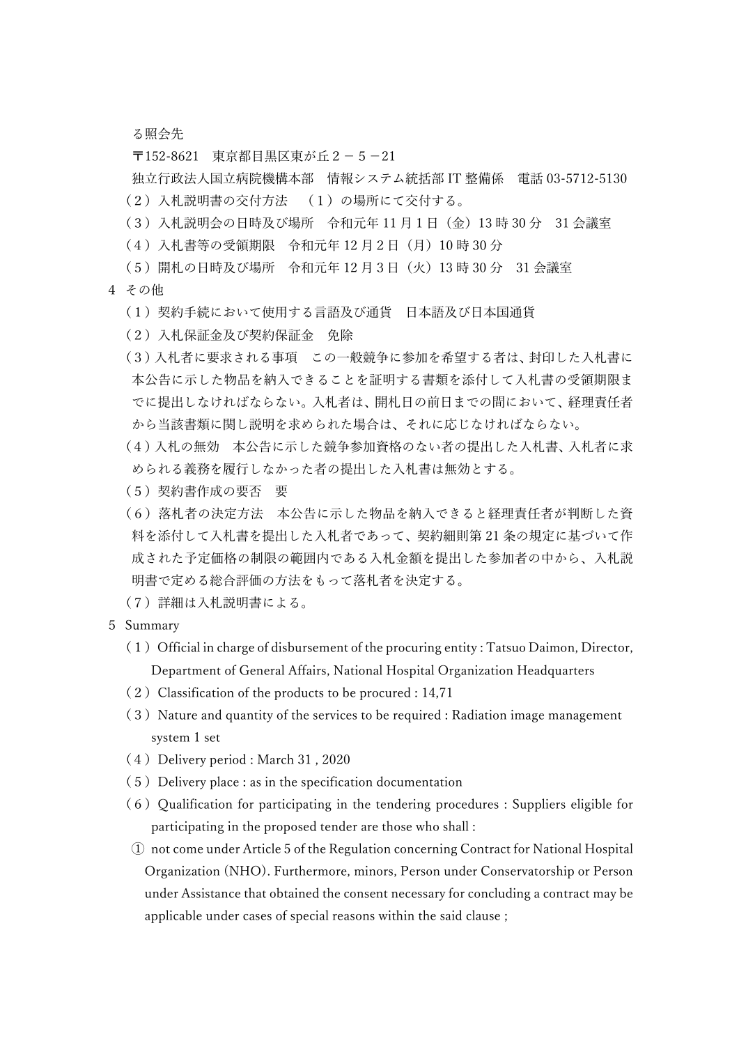る照会先

〒152-8621 東京都目黒区東が丘2-5-21

独立行政法人国立病院機構本部 情報システム統括部 IT 整備係 電話 03-5712-5130 (2) 入札説明書の交付方法 (1) の場所にて交付する。

- (3) 入札説明会の日時及び場所 令和元年11月1日 (金) 13時 30 分 31 会議室
- (4) 入札書等の受領期限 令和元年 12 月 2 日 (月) 10 時 30 分
- (5) 開札の日時及び場所 令和元年 12 月 3 日 (火) 13 時 30 分 31 会議室
- 4 その他
	- (1) 契約手続において使用する言語及び通貨 日本語及び日本国通貨
	- (2)⼊札保証⾦及び契約保証⾦ 免除
	- (3)入札者に要求される事項 この一般競争に参加を希望する者は、封印した入札書に 本公告に示した物品を納入できることを証明する書類を添付して入札書の受領期限ま でに提出しなければならない。入札者は、開札日の前日までの間において、経理責任者 から当該書類に関し説明を求められた場合は、それに応じなければならない。
	- (4) 入札の無効 本公告に示した競争参加資格のない者の提出した入札書、入札者に求 められる義務を履行しなかった者の提出した入札書は無効とする。
	- (5)契約書作成の要否 要
	- (6) 落札者の決定方法 本公告に示した物品を納入できると経理責任者が判断した資 料を添付して入札書を提出した入札者であって、契約細則第 21 条の規定に基づいて作 成された予定価格の制限の範囲内である入札金額を提出した参加者の中から、入札説 明書で定める総合評価の⽅法をもって落札者を決定する。
	- (7)詳細は⼊札説明書による。
- 5 Summary
	- $(1)$  Official in charge of disbursement of the procuring entity : Tatsuo Daimon, Director, Department of General Affairs, National Hospital Organization Headquarters
	- (2)Classification of the products to be procured : 14,71
	- (3) Nature and quantity of the services to be required : Radiation image management system 1 set
	- (4) Delivery period : March 31, 2020
	- $(5)$  Delivery place : as in the specification documentation
	- $(6)$  Qualification for participating in the tendering procedures : Suppliers eligible for participating in the proposed tender are those who shall :
	- ① not come under Article 5 of the Regulation concerning Contract for National Hospital Organization (NHO). Furthermore, minors, Person under Conservatorship or Person under Assistance that obtained the consent necessary for concluding a contract may be applicable under cases of special reasons within the said clause ;